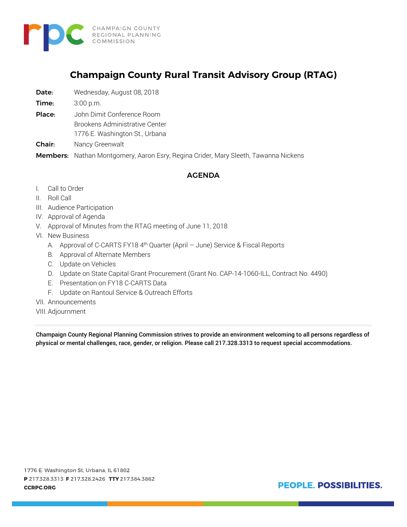

# **Champaign County Rural Transit Advisory Group (RTAG)**

- Date: Wednesday, August 08, 2018
- **Time:** 3:00 p.m.
- Place: John Dimit Conference Room
	- Brookens Administrative Center
		- 1776 E. Washington St., Urbana
- Chair: Nancy Greenwalt
- Members: Nathan Montgomery, Aaron Esry, Regina Crider, Mary Sleeth, Tawanna Nickens

#### AGENDA

- I. Call to Order
- II. Roll Call
- III. Audience Participation
- IV. Approval of Agenda
- V. Approval of Minutes from the RTAG meeting of June 11, 2018
- VI. New Business
	- A. Approval of C-CARTS FY18 4<sup>th</sup> Quarter (April June) Service & Fiscal Reports
	- B. Approval of Alternate Members
	- C. Update on Vehicles
	- D. Update on State Capital Grant Procurement (Grant No. CAP-14-1060-ILL, Contract No. 4490)
	- E. Presentation on FY18 C-CARTS Data
	- F. Update on Rantoul Service & Outreach Efforts
- VII. Announcements
- VIII.Adjournment

Champaign County Regional Planning Commission strives to provide an environment welcoming to all persons regardless of physical or mental challenges, race, gender, or religion. Please call 217.328.3313 to request special accommodations.

1776 E. Washington St, Urbana, IL 61802 P 217.328.3313 F 217.328.2426 TTY 217.384.3862 **CCRPC.ORG** 

PEOPLE. POSSIBILITIES.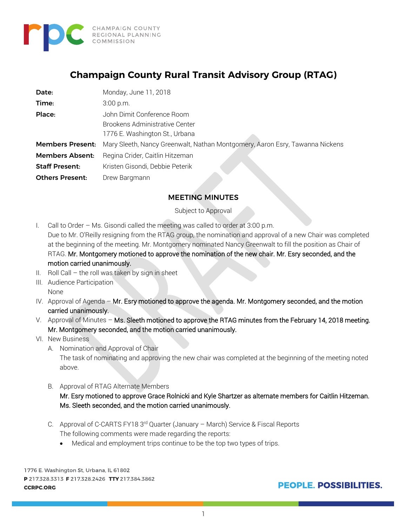

# **Champaign County Rural Transit Advisory Group (RTAG)**

| Date:                   | Monday, June 11, 2018                                                        |
|-------------------------|------------------------------------------------------------------------------|
| Time:                   | 3:00 p.m.                                                                    |
| Place:                  | John Dimit Conference Room                                                   |
|                         | Brookens Administrative Center                                               |
|                         | 1776 E. Washington St., Urbana                                               |
| <b>Members Present:</b> | Mary Sleeth, Nancy Greenwalt, Nathan Montgomery, Aaron Esry, Tawanna Nickens |
| <b>Members Absent:</b>  | Regina Crider, Caitlin Hitzeman                                              |
| <b>Staff Present:</b>   | Kristen Gisondi, Debbie Peterik                                              |
| <b>Others Present:</b>  | Drew Bargmann                                                                |

### MEETING MINUTES

Subject to Approval

- I. Call to Order Ms. Gisondi called the meeting was called to order at 3:00 p.m. Due to Mr. O'Reilly resigning from the RTAG group, the nomination and approval of a new Chair was completed at the beginning of the meeting. Mr. Montgomery nominated Nancy Greenwalt to fill the position as Chair of RTAG. Mr. Montgomery motioned to approve the nomination of the new chair. Mr. Esry seconded, and the motion carried unanimously.
- II. Roll Call  $-$  the roll was taken by sign in sheet
- III. Audience Participation None
- IV. Approval of Agenda Mr. Esry motioned to approve the agenda. Mr. Montgomery seconded, and the motion carried unanimously.
- V. Approval of Minutes Ms. Sleeth motioned to approve the RTAG minutes from the February 14, 2018 meeting. Mr. Montgomery seconded, and the motion carried unanimously.
- VI. New Business
	- A. Nomination and Approval of Chair

The task of nominating and approving the new chair was completed at the beginning of the meeting noted above.

B. Approval of RTAG Alternate Members

Mr. Esry motioned to approve Grace Rolnicki and Kyle Shartzer as alternate members for Caitlin Hitzeman. Ms. Sleeth seconded, and the motion carried unanimously.

- C. Approval of C-CARTS FY18 3rd Quarter (January March) Service & Fiscal Reports The following comments were made regarding the reports:
	- Medical and employment trips continue to be the top two types of trips.

1776 E. Washington St, Urbana, IL 61802 P 217.328.3313 F 217.328.2426 TTY 217.384.3862 **CCRPC.ORG** 

**PEOPLE, POSSIBILITIES.**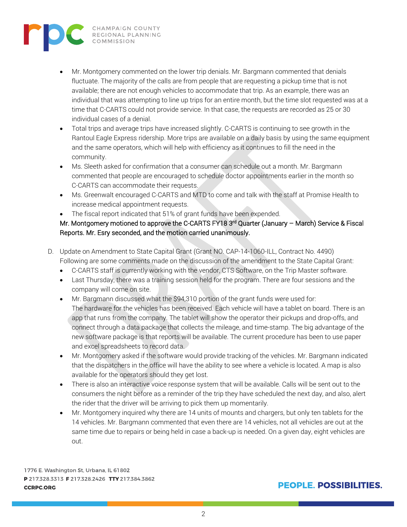

- Mr. Montgomery commented on the lower trip denials. Mr. Bargmann commented that denials fluctuate. The majority of the calls are from people that are requesting a pickup time that is not available; there are not enough vehicles to accommodate that trip. As an example, there was an individual that was attempting to line up trips for an entire month, but the time slot requested was at a time that C-CARTS could not provide service. In that case, the requests are recorded as 25 or 30 individual cases of a denial.
- Total trips and average trips have increased slightly. C-CARTS is continuing to see growth in the Rantoul Eagle Express ridership. More trips are available on a daily basis by using the same equipment and the same operators, which will help with efficiency as it continues to fill the need in the community.
- Ms. Sleeth asked for confirmation that a consumer can schedule out a month. Mr. Bargmann commented that people are encouraged to schedule doctor appointments earlier in the month so C-CARTS can accommodate their requests.
- Ms. Greenwalt encouraged C-CARTS and MTD to come and talk with the staff at Promise Health to increase medical appointment requests.
- The fiscal report indicated that 51% of grant funds have been expended.

## Mr. Montgomery motioned to approve the C-CARTS FY18 3<sup>rd</sup> Quarter (January - March) Service & Fiscal Reports. Mr. Esry seconded, and the motion carried unanimously.

- D. Update on Amendment to State Capital Grant (Grant NO. CAP-14-1060-ILL, Contract No. 4490) Following are some comments made on the discussion of the amendment to the State Capital Grant:
	- C-CARTS staff is currently working with the vendor, CTS Software, on the Trip Master software.
	- Last Thursday, there was a training session held for the program. There are four sessions and the company will come on site.
	- Mr. Bargmann discussed what the \$94,310 portion of the grant funds were used for: The hardware for the vehicles has been received. Each vehicle will have a tablet on board. There is an app that runs from the company. The tablet will show the operator their pickups and drop-offs, and connect through a data package that collects the mileage, and time-stamp. The big advantage of the new software package is that reports will be available. The current procedure has been to use paper and excel spreadsheets to record data.
	- Mr. Montgomery asked if the software would provide tracking of the vehicles. Mr. Bargmann indicated that the dispatchers in the office will have the ability to see where a vehicle is located. A map is also available for the operators should they get lost.
	- There is also an interactive voice response system that will be available. Calls will be sent out to the consumers the night before as a reminder of the trip they have scheduled the next day, and also, alert the rider that the driver will be arriving to pick them up momentarily.
	- Mr. Montgomery inquired why there are 14 units of mounts and chargers, but only ten tablets for the 14 vehicles. Mr. Bargmann commented that even there are 14 vehicles, not all vehicles are out at the same time due to repairs or being held in case a back-up is needed. On a given day, eight vehicles are out.

1776 E. Washington St, Urbana, IL 61802 P 217.328.3313 F 217.328.2426 TTY 217.384.3862 **CCRPC.ORG** 

## **PEOPLE, POSSIBILITIES.**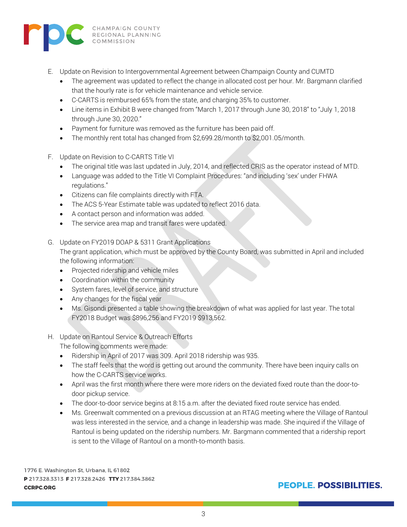

- E. Update on Revision to Intergovernmental Agreement between Champaign County and CUMTD
	- The agreement was updated to reflect the change in allocated cost per hour. Mr. Bargmann clarified that the hourly rate is for vehicle maintenance and vehicle service.
	- C-CARTS is reimbursed 65% from the state, and charging 35% to customer.
	- Line items in Exhibit B were changed from "March 1, 2017 through June 30, 2018" to "July 1, 2018 through June 30, 2020."
	- Payment for furniture was removed as the furniture has been paid off.
	- The monthly rent total has changed from \$2,699.28/month to \$2,001.05/month.
- F. Update on Revision to C-CARTS Title VI
	- The original title was last updated in July, 2014, and reflected CRIS as the operator instead of MTD.
	- Language was added to the Title VI Complaint Procedures: "and including 'sex' under FHWA regulations."
	- Citizens can file complaints directly with FTA.
	- The ACS 5-Year Estimate table was updated to reflect 2016 data.
	- A contact person and information was added.
	- The service area map and transit fares were updated.
- G. Update on FY2019 DOAP & 5311 Grant Applications

The grant application, which must be approved by the County Board, was submitted in April and included the following information:

- Projected ridership and vehicle miles
- Coordination within the community
- System fares, level of service, and structure
- Any changes for the fiscal year
- Ms. Gisondi presented a table showing the breakdown of what was applied for last year. The total FY2018 Budget was \$896,256 and FY2019 \$913,562.
- H. Update on Rantoul Service & Outreach Efforts The following comments were made:
	- Ridership in April of 2017 was 309. April 2018 ridership was 935.
	- The staff feels that the word is getting out around the community. There have been inquiry calls on how the C-CARTS service works.
	- April was the first month where there were more riders on the deviated fixed route than the door-todoor pickup service.
	- The door-to-door service begins at 8:15 a.m. after the deviated fixed route service has ended.
	- Ms. Greenwalt commented on a previous discussion at an RTAG meeting where the Village of Rantoul was less interested in the service, and a change in leadership was made. She inquired if the Village of Rantoul is being updated on the ridership numbers. Mr. Bargmann commented that a ridership report is sent to the Village of Rantoul on a month-to-month basis.

1776 E. Washington St, Urbana, IL 61802 P 217.328.3313 F 217.328.2426 TTY 217.384.3862 **CCRPC.ORG** 

## **PEOPLE, POSSIBILITIES.**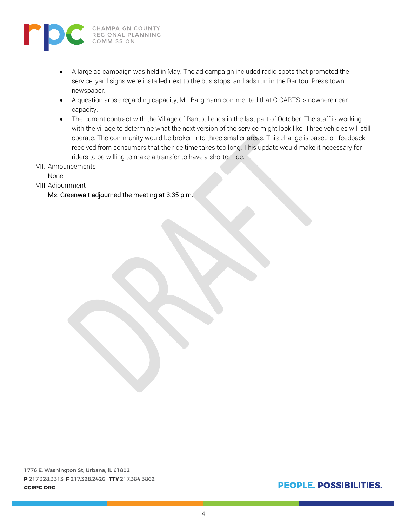

- A large ad campaign was held in May. The ad campaign included radio spots that promoted the service, yard signs were installed next to the bus stops, and ads run in the Rantoul Press town newspaper.
- A question arose regarding capacity, Mr. Bargmann commented that C-CARTS is nowhere near capacity.
- The current contract with the Village of Rantoul ends in the last part of October. The staff is working with the village to determine what the next version of the service might look like. Three vehicles will still operate. The community would be broken into three smaller areas. This change is based on feedback received from consumers that the ride time takes too long. This update would make it necessary for riders to be willing to make a transfer to have a shorter ride.
- VII. Announcements

None

VIII.Adjournment

#### Ms. Greenwalt adjourned the meeting at 3:35 p.m.

## PEOPLE. POSSIBILITIES.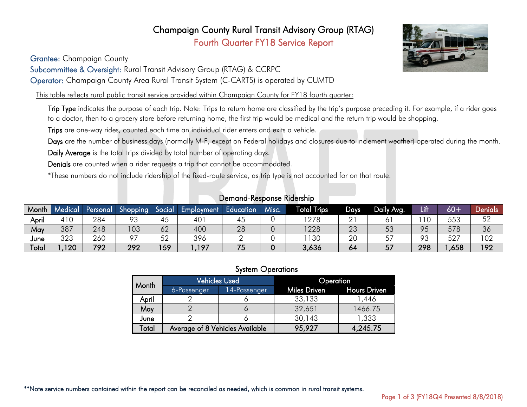## Champaign County Rural Transit Advisory Group (RTAG) Fourth Quarter FY18 Service Report

Grantee: Champaign County

Subcommittee & Oversight: Rural Transit Advisory Group (RTAG) & CCRPC

Operator: Champaign County Area Rural Transit System (C-CARTS) is operated by CUMTD

This table reflects rural public transit service provided within Champaign County for FY18 fourth quarter:

Trip Type indicates the purpose of each trip. Note: Trips to return home are classified by the trip's purpose preceding it. For example, if a rider goes to a doctor, then to a grocery store before returning home, the first trip would be medical and the return trip would be shopping.

Trips are one-way rides, counted each time an individual rider enters and exits a vehicle.

Days are the number of business days (normally M-F, except on Federal holidays and closures due to inclement weather) operated during the month.

Daily Average is the total trips divided by total number of operating days.

Denials are counted when a rider requests a trip that cannot be accommodated.

\*These numbers do not include ridership of the fixed-route service, as trip type is not accounted for on that route.

| Month | <b>Medical</b> | Personal              | Shopping      | <i><b>Social</b></i> | Employment | Education | Misc. | <b>Fotal Trips</b><br>ŀ | Days     | Daily Avg.                     | Lifl   | $60+$      | Denials  |
|-------|----------------|-----------------------|---------------|----------------------|------------|-----------|-------|-------------------------|----------|--------------------------------|--------|------------|----------|
| April | 110            | 284                   | റാ<br>ں ہ     |                      | 40         | 45        |       | 278                     |          |                                | $\sim$ | ににつ<br>ບບບ | らつ<br>◡∠ |
| May.  | 387            | 248                   | 03            | 62                   | 400        | 28        |       | 1228                    | ററ<br>ک∠ | $\overline{\phantom{a}}$<br>◡◡ | 95     | 578        | 36       |
| June  | 323            | 260                   | $\sim$ $\sim$ | よつ<br>◡∠             | 396        |           |       | 130                     | 20       | ِ ب                            | 93     | 577<br>JZ. | 102      |
| Total | 120            | 200<br>$\overline{ }$ | 292           | 159                  | ,197       | ີ         |       | 3,636                   | 64       | 57<br>، ب                      | 298    | ,658       | 192      |

Demand-Response Ridership

#### System Operations

| Month |             | <b>Vehicles Used</b>            | Operation    |                     |  |  |
|-------|-------------|---------------------------------|--------------|---------------------|--|--|
|       | 6-Passenger | 14-Passenger                    | Miles Driven | <b>Hours Driven</b> |  |  |
| April |             |                                 | 33,133       | 1,446               |  |  |
| May   |             |                                 | 32,651       | 1466.75             |  |  |
| June  |             |                                 | 30,143       | 1,333               |  |  |
| Total |             | Average of 8 Vehicles Available | 95,927       | 4,245.75            |  |  |

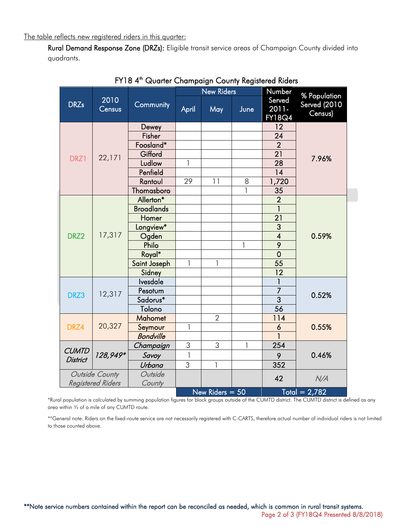The table reflects new registered riders in this quarter:

Rural Demand Response Zone (DRZs): Eligible transit service areas of Champaign County divided into quadrants.

|                                    |                |                   |                | <b>New Riders</b> |              | Number                    | % Population<br><b>Served (2010)</b><br>Census) |  |
|------------------------------------|----------------|-------------------|----------------|-------------------|--------------|---------------------------|-------------------------------------------------|--|
| <b>DRZs</b>                        | 2010<br>Census | Community         | April          | May               | June         | Served<br>2011-<br>FY18Q4 |                                                 |  |
|                                    |                | Dewey             |                |                   |              | 12                        |                                                 |  |
|                                    |                | Fisher            |                |                   |              | 24                        |                                                 |  |
|                                    |                | Foosland*         |                |                   |              | $\overline{2}$            |                                                 |  |
| DRZ1                               | 22,171         | Gifford           |                |                   |              | $\overline{21}$           | 7.96%                                           |  |
|                                    |                | Ludlow            | 1              |                   |              | $\overline{28}$           |                                                 |  |
|                                    |                | Penfield          |                |                   |              | 14                        |                                                 |  |
|                                    |                | Rantoul           | 29             | 11                | 8            | 1,720                     |                                                 |  |
|                                    |                | Thomasboro        |                |                   | 1            | 35                        |                                                 |  |
|                                    |                | Allerton*         |                |                   |              | $\overline{2}$            |                                                 |  |
|                                    | 17,317         | <b>Broadlands</b> |                |                   |              | 1                         |                                                 |  |
|                                    |                | Homer             |                |                   |              | $\overline{21}$           |                                                 |  |
|                                    |                | Longview*         |                |                   |              | 3                         |                                                 |  |
| DRZ2                               |                | Ogden             |                |                   |              | $\overline{\mathcal{A}}$  | 0.59%                                           |  |
|                                    |                | Philo             |                |                   | 1            | $\overline{9}$            |                                                 |  |
|                                    |                | Royal*            |                |                   |              | $\overline{0}$            |                                                 |  |
|                                    |                | Saint Joseph      | 1              | $\mathbf{1}$      |              | 55                        |                                                 |  |
|                                    |                | Sidney            |                |                   |              | $\overline{12}$           |                                                 |  |
|                                    |                | Ivesdale          |                |                   |              | 1                         |                                                 |  |
| DRZ3                               | 12,317         | Pesotum           |                |                   |              | $\overline{7}$            | 0.52%                                           |  |
|                                    |                | Sadorus*          |                |                   |              | $\overline{3}$            |                                                 |  |
|                                    |                | Tolono            |                |                   |              | $\overline{56}$           |                                                 |  |
|                                    |                | <b>Mahomet</b>    |                | $\overline{2}$    |              | 114                       |                                                 |  |
| DRZ4                               | 20,327         | Seymour           | $\mathbf{1}$   |                   |              | 6                         | 0.55%                                           |  |
|                                    |                | <b>Bondville</b>  |                |                   |              |                           |                                                 |  |
| <b>CUMTD</b><br><b>District</b>    |                | Champaign         | 3              | 3                 | $\mathbf{1}$ | 254                       |                                                 |  |
|                                    | 128,949*       | Savoy             | $\mathbf{1}$   |                   |              | 9                         | 0.46%                                           |  |
|                                    |                | Urbana            | $\overline{3}$ | $\mathbf{1}$      |              | 352                       |                                                 |  |
| Outside County                     |                | Outside           |                |                   |              | 42                        | N/A                                             |  |
| <b>Registered Riders</b><br>County |                |                   |                |                   |              |                           |                                                 |  |
|                                    |                |                   |                | New Riders $= 50$ |              |                           | $Total = 2.782$                                 |  |

FY18 4<sup>th</sup> Quarter Champaign County Registered Riders

\*Rural population is calculated by summing population figures for block groups outside of the CUMTD district. The CUMTD district is defined as any area within ¾ of a mile of any CUMTD route.

\*\*General note: Riders on the fixed-route service are not necessarily registered with C-CARTS, therefore actual number of individual riders is not limited to those counted above.